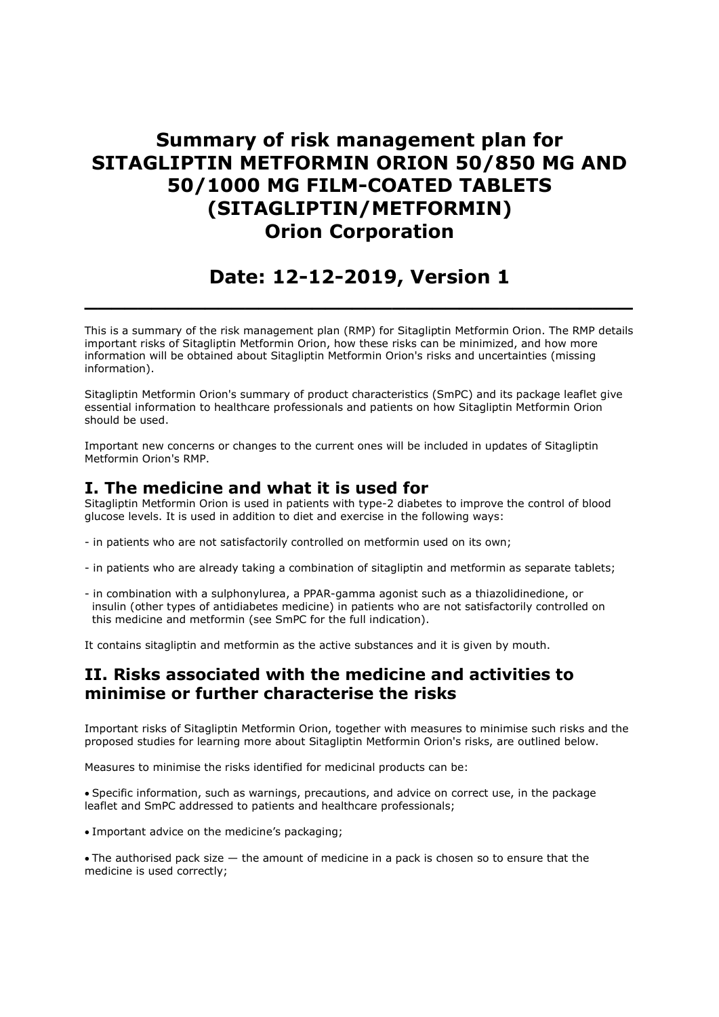# Summary of risk management plan for SITAGLIPTIN METFORMIN ORION 50/850 MG AND 50/1000 MG FILM-COATED TABLETS (SITAGLIPTIN/METFORMIN) Orion Corporation

# Date: 12-12-2019, Version 1

 $\_$  , and the set of the set of the set of the set of the set of the set of the set of the set of the set of the set of the set of the set of the set of the set of the set of the set of the set of the set of the set of th

This is a summary of the risk management plan (RMP) for Sitagliptin Metformin Orion. The RMP details important risks of Sitagliptin Metformin Orion, how these risks can be minimized, and how more information will be obtained about Sitagliptin Metformin Orion's risks and uncertainties (missing information).

Sitagliptin Metformin Orion's summary of product characteristics (SmPC) and its package leaflet give essential information to healthcare professionals and patients on how Sitagliptin Metformin Orion should be used.

Important new concerns or changes to the current ones will be included in updates of Sitagliptin Metformin Orion's RMP.

### I. The medicine and what it is used for

Sitagliptin Metformin Orion is used in patients with type-2 diabetes to improve the control of blood glucose levels. It is used in addition to diet and exercise in the following ways:

- in patients who are not satisfactorily controlled on metformin used on its own;
- in patients who are already taking a combination of sitagliptin and metformin as separate tablets;
- in combination with a sulphonylurea, a PPAR-gamma agonist such as a thiazolidinedione, or insulin (other types of antidiabetes medicine) in patients who are not satisfactorily controlled on this medicine and metformin (see SmPC for the full indication).

It contains sitagliptin and metformin as the active substances and it is given by mouth.

## II. Risks associated with the medicine and activities to minimise or further characterise the risks

Important risks of Sitagliptin Metformin Orion, together with measures to minimise such risks and the proposed studies for learning more about Sitagliptin Metformin Orion's risks, are outlined below.

Measures to minimise the risks identified for medicinal products can be:

Specific information, such as warnings, precautions, and advice on correct use, in the package leaflet and SmPC addressed to patients and healthcare professionals;

- Important advice on the medicine's packaging;
- The authorised pack size the amount of medicine in a pack is chosen so to ensure that the medicine is used correctly;